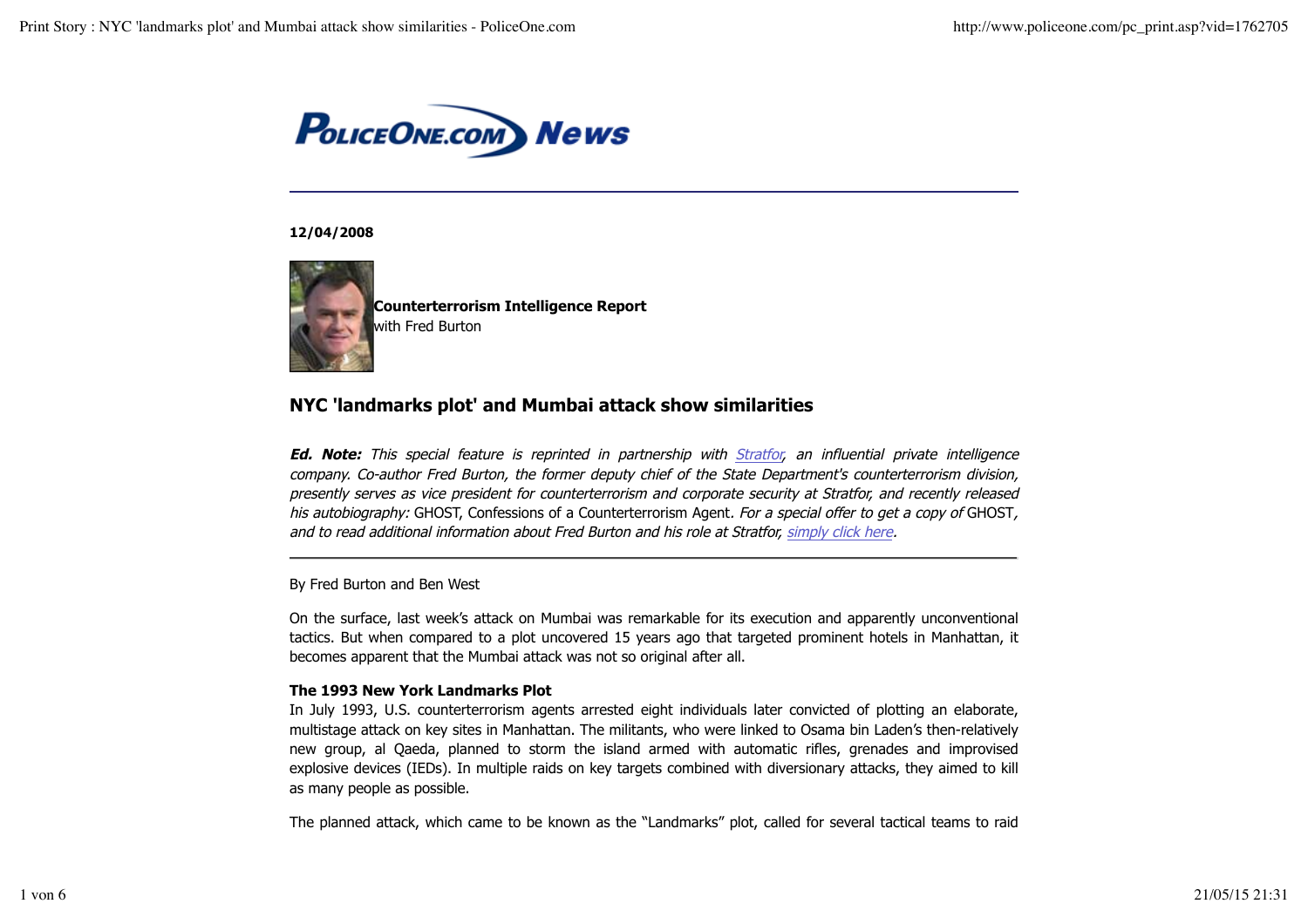

#### **12/04/2008**



**Counterterrorism Intelligence Report** with Fred Burton

# **NYC 'landmarks plot' and Mumbai attack show similarities**

**Ed. Note:** This special feature is reprinted in partnership with Stratfor, an influential private intelligence company. Co-author Fred Burton, the former deputy chief of the State Department's counterterrorism division, presently serves as vice president for counterterrorism and corporate security at Stratfor, and recently released his autobiography: GHOST, Confessions of a Counterterrorism Agent. For a special offer to get a copy of GHOST, and to read additional information about Fred Burton and his role at Stratfor, simply click here.

By Fred Burton and Ben West

On the surface, last week's attack on Mumbai was remarkable for its execution and apparently unconventional tactics. But when compared to a plot uncovered 15 years ago that targeted prominent hotels in Manhattan, it becomes apparent that the Mumbai attack was not so original after all.

## **The 1993 New York Landmarks Plot**

In July 1993, U.S. counterterrorism agents arrested eight individuals later convicted of plotting an elaborate, multistage attack on key sites in Manhattan. The militants, who were linked to Osama bin Laden's then-relatively new group, al Qaeda, planned to storm the island armed with automatic rifles, grenades and improvised explosive devices (IEDs). In multiple raids on key targets combined with diversionary attacks, they aimed to kill as many people as possible.

The planned attack, which came to be known as the "Landmarks" plot, called for several tactical teams to raid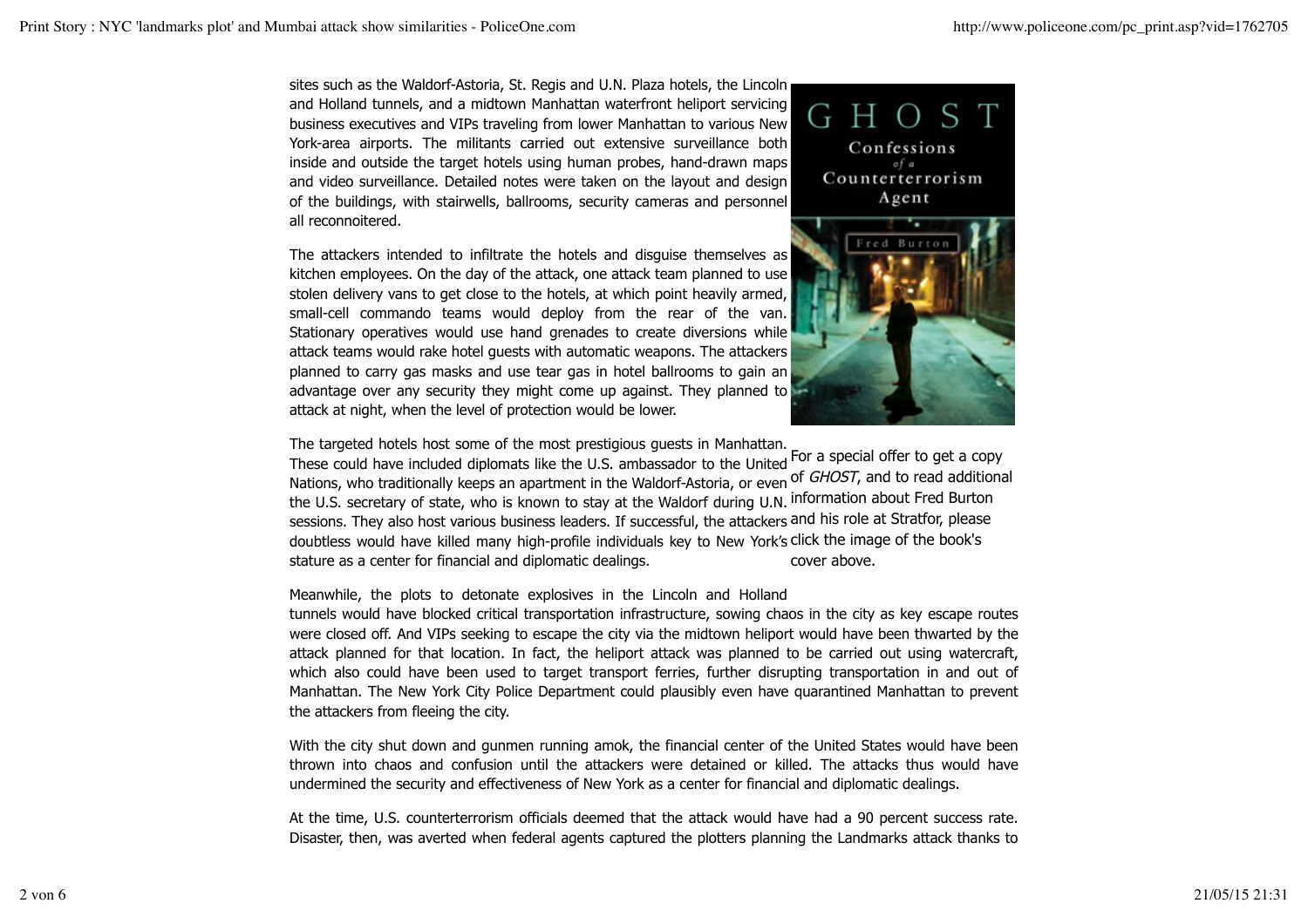sites such as the Waldorf-Astoria, St. Regis and U.N. Plaza hotels, the Lincoln and Holland tunnels, and a midtown Manhattan waterfront heliport servicing business executives and VIPs traveling from lower Manhattan to various New York-area airports. The militants carried out extensive surveillance both inside and outside the target hotels using human probes, hand-drawn maps and video surveillance. Detailed notes were taken on the layout and design of the buildings, with stairwells, ballrooms, security cameras and personnel all reconnoitered.

The attackers intended to infiltrate the hotels and disguise themselves as kitchen employees. On the day of the attack, one attack team planned to use stolen delivery vans to get close to the hotels, at which point heavily armed, small-cell commando teams would deploy from the rear of the van. Stationary operatives would use hand grenades to create diversions while attack teams would rake hotel guests with automatic weapons. The attackers planned to carry gas masks and use tear gas in hotel ballrooms to gain an advantage over any security they might come up against. They planned to attack at night, when the level of protection would be lower.



The targeted hotels host some of the most prestigious guests in Manhattan.

These could have included diplomats like the U.S. ambassador to the United For a special offer to get a copy Nations, who traditionally keeps an apartment in the Waldorf-Astoria, or even of GHOST, and to read additional the U.S. secretary of state, who is known to stay at the Waldorf during U.N. information about Fred Burton sessions. They also host various business leaders. If successful, the attackers and his role at Stratfor, please doubtless would have killed many high-profile individuals key to New York's click the image of the book's cover above. stature as a center for financial and diplomatic dealings.

## Meanwhile, the plots to detonate explosives in the Lincoln and Holland

tunnels would have blocked critical transportation infrastructure, sowing chaos in the city as key escape routes were closed off. And VIPs seeking to escape the city via the midtown heliport would have been thwarted by the attack planned for that location. In fact, the heliport attack was planned to be carried out using watercraft, which also could have been used to target transport ferries, further disrupting transportation in and out of Manhattan. The New York City Police Department could plausibly even have quarantined Manhattan to prevent the attackers from fleeing the city.

With the city shut down and gunmen running amok, the financial center of the United States would have been thrown into chaos and confusion until the attackers were detained or killed. The attacks thus would have undermined the security and effectiveness of New York as a center for financial and diplomatic dealings.

At the time, U.S. counterterrorism officials deemed that the attack would have had a 90 percent success rate. Disaster, then, was averted when federal agents captured the plotters planning the Landmarks attack thanks to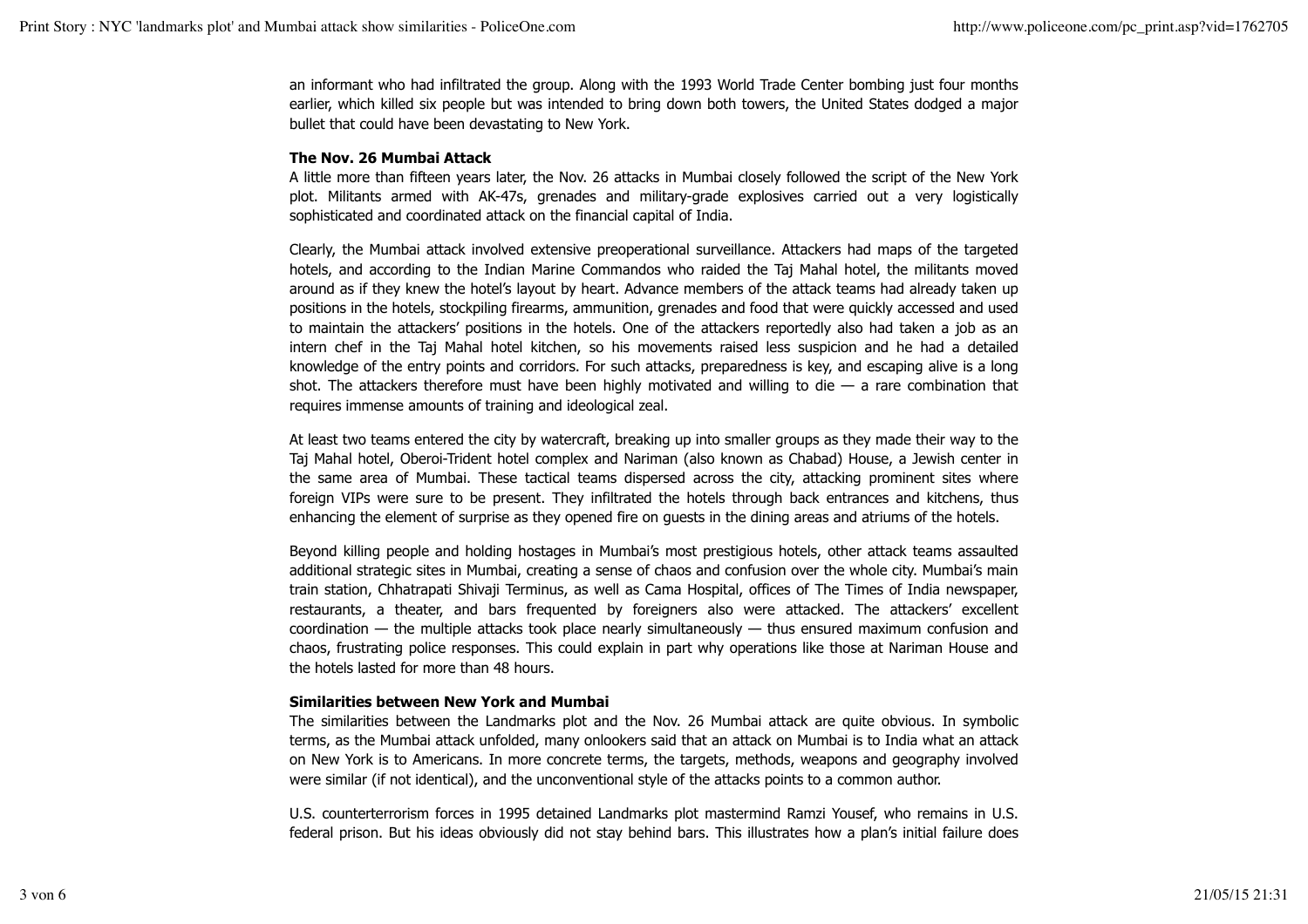an informant who had infiltrated the group. Along with the 1993 World Trade Center bombing just four months earlier, which killed six people but was intended to bring down both towers, the United States dodged a major bullet that could have been devastating to New York.

#### **The Nov. 26 Mumbai Attack**

A little more than fifteen years later, the Nov. 26 attacks in Mumbai closely followed the script of the New York plot. Militants armed with AK-47s, grenades and military-grade explosives carried out a very logistically sophisticated and coordinated attack on the financial capital of India.

Clearly, the Mumbai attack involved extensive preoperational surveillance. Attackers had maps of the targeted hotels, and according to the Indian Marine Commandos who raided the Taj Mahal hotel, the militants moved around as if they knew the hotel's layout by heart. Advance members of the attack teams had already taken up positions in the hotels, stockpiling firearms, ammunition, grenades and food that were quickly accessed and used to maintain the attackers' positions in the hotels. One of the attackers reportedly also had taken a job as an intern chef in the Taj Mahal hotel kitchen, so his movements raised less suspicion and he had a detailed knowledge of the entry points and corridors. For such attacks, preparedness is key, and escaping alive is a long shot. The attackers therefore must have been highly motivated and willing to die  $-$  a rare combination that requires immense amounts of training and ideological zeal.

At least two teams entered the city by watercraft, breaking up into smaller groups as they made their way to the Taj Mahal hotel, Oberoi-Trident hotel complex and Nariman (also known as Chabad) House, a Jewish center in the same area of Mumbai. These tactical teams dispersed across the city, attacking prominent sites where foreign VIPs were sure to be present. They infiltrated the hotels through back entrances and kitchens, thus enhancing the element of surprise as they opened fire on guests in the dining areas and atriums of the hotels.

Beyond killing people and holding hostages in Mumbai's most prestigious hotels, other attack teams assaulted additional strategic sites in Mumbai, creating a sense of chaos and confusion over the whole city. Mumbai's main train station, Chhatrapati Shivaji Terminus, as well as Cama Hospital, offices of The Times of India newspaper, restaurants, a theater, and bars frequented by foreigners also were attacked. The attackers' excellent coordination — the multiple attacks took place nearly simultaneously — thus ensured maximum confusion and chaos, frustrating police responses. This could explain in part why operations like those at Nariman House and the hotels lasted for more than 48 hours.

## **Similarities between New York and Mumbai**

The similarities between the Landmarks plot and the Nov. 26 Mumbai attack are quite obvious. In symbolic terms, as the Mumbai attack unfolded, many onlookers said that an attack on Mumbai is to India what an attack on New York is to Americans. In more concrete terms, the targets, methods, weapons and geography involved were similar (if not identical), and the unconventional style of the attacks points to a common author.

U.S. counterterrorism forces in 1995 detained Landmarks plot mastermind Ramzi Yousef, who remains in U.S. federal prison. But his ideas obviously did not stay behind bars. This illustrates how a plan's initial failure does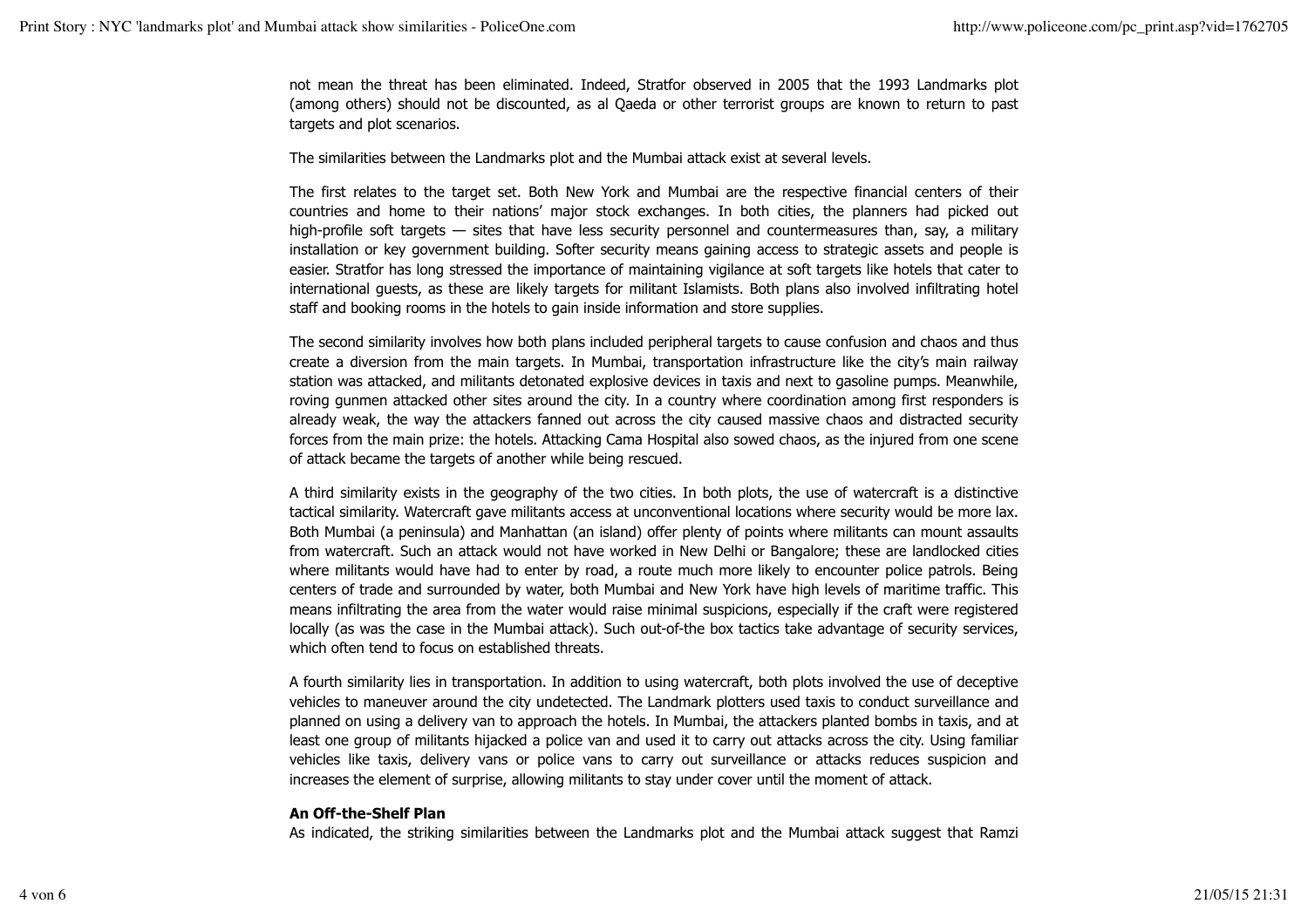not mean the threat has been eliminated. Indeed, Stratfor observed in 2005 that the 1993 Landmarks plot (among others) should not be discounted, as al Qaeda or other terrorist groups are known to return to past targets and plot scenarios.

The similarities between the Landmarks plot and the Mumbai attack exist at several levels.

The first relates to the target set. Both New York and Mumbai are the respective financial centers of their countries and home to their nations' major stock exchanges. In both cities, the planners had picked out high-profile soft targets — sites that have less security personnel and countermeasures than, say, a military installation or key government building. Softer security means gaining access to strategic assets and people is easier. Stratfor has long stressed the importance of maintaining vigilance at soft targets like hotels that cater to international guests, as these are likely targets for militant Islamists. Both plans also involved infiltrating hotel staff and booking rooms in the hotels to gain inside information and store supplies.

The second similarity involves how both plans included peripheral targets to cause confusion and chaos and thus create a diversion from the main targets. In Mumbai, transportation infrastructure like the city's main railway station was attacked, and militants detonated explosive devices in taxis and next to gasoline pumps. Meanwhile, roving gunmen attacked other sites around the city. In a country where coordination among first responders is already weak, the way the attackers fanned out across the city caused massive chaos and distracted security forces from the main prize: the hotels. Attacking Cama Hospital also sowed chaos, as the injured from one scene of attack became the targets of another while being rescued.

A third similarity exists in the geography of the two cities. In both plots, the use of watercraft is a distinctive tactical similarity. Watercraft gave militants access at unconventional locations where security would be more lax. Both Mumbai (a peninsula) and Manhattan (an island) offer plenty of points where militants can mount assaults from watercraft. Such an attack would not have worked in New Delhi or Bangalore; these are landlocked cities where militants would have had to enter by road, a route much more likely to encounter police patrols. Being centers of trade and surrounded by water, both Mumbai and New York have high levels of maritime traffic. This means infiltrating the area from the water would raise minimal suspicions, especially if the craft were registered locally (as was the case in the Mumbai attack). Such out-of-the box tactics take advantage of security services, which often tend to focus on established threats.

A fourth similarity lies in transportation. In addition to using watercraft, both plots involved the use of deceptive vehicles to maneuver around the city undetected. The Landmark plotters used taxis to conduct surveillance and planned on using a delivery van to approach the hotels. In Mumbai, the attackers planted bombs in taxis, and at least one group of militants hijacked a police van and used it to carry out attacks across the city. Using familiar vehicles like taxis, delivery vans or police vans to carry out surveillance or attacks reduces suspicion and increases the element of surprise, allowing militants to stay under cover until the moment of attack.

#### **An Off-the-Shelf Plan**

As indicated, the striking similarities between the Landmarks plot and the Mumbai attack suggest that Ramzi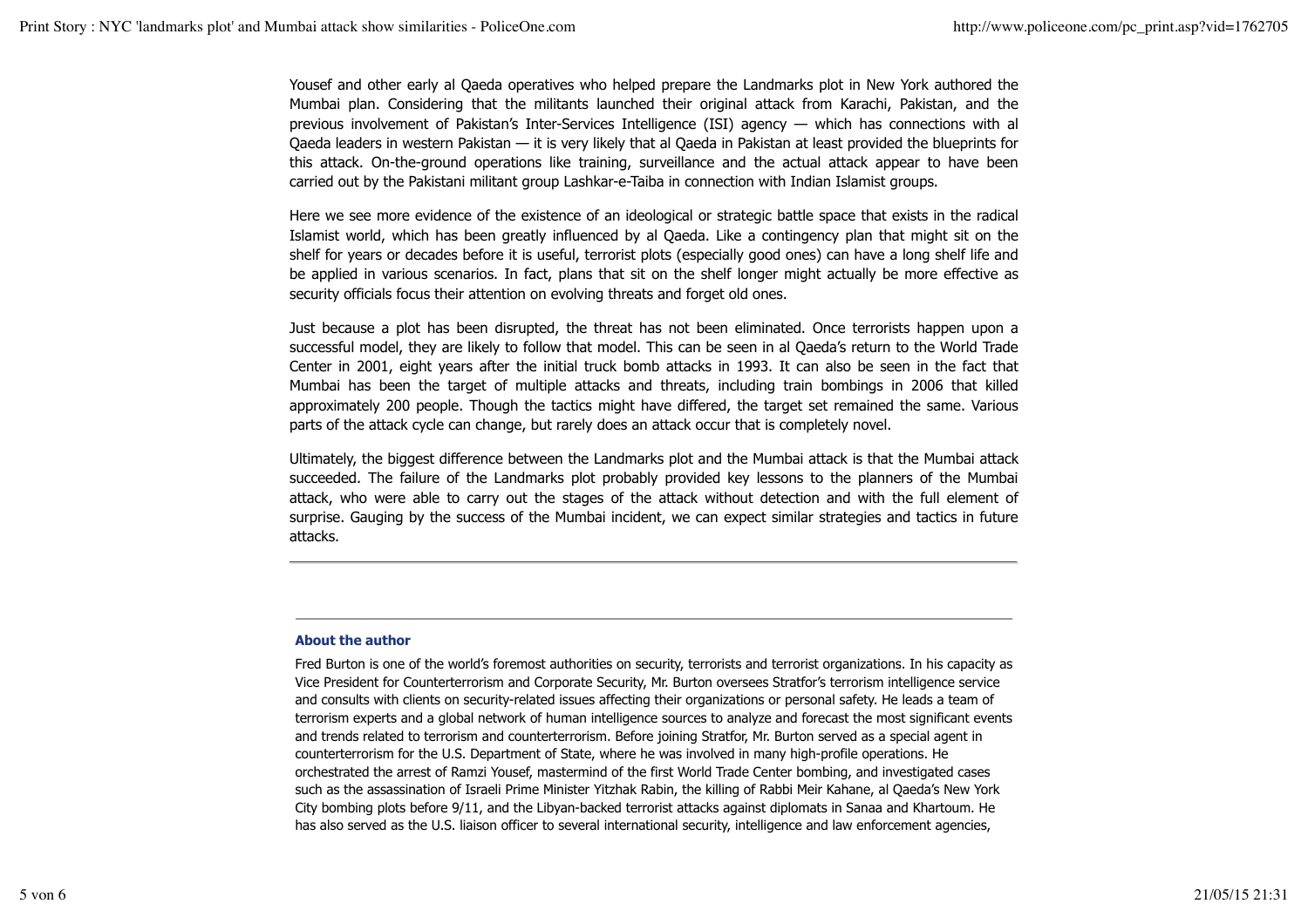Yousef and other early al Qaeda operatives who helped prepare the Landmarks plot in New York authored the Mumbai plan. Considering that the militants launched their original attack from Karachi, Pakistan, and the previous involvement of Pakistan's Inter-Services Intelligence (ISI) agency — which has connections with al Qaeda leaders in western Pakistan — it is very likely that al Qaeda in Pakistan at least provided the blueprints for this attack. On-the-ground operations like training, surveillance and the actual attack appear to have been carried out by the Pakistani militant group Lashkar-e-Taiba in connection with Indian Islamist groups.

Here we see more evidence of the existence of an ideological or strategic battle space that exists in the radical Islamist world, which has been greatly influenced by al Qaeda. Like a contingency plan that might sit on the shelf for years or decades before it is useful, terrorist plots (especially good ones) can have a long shelf life and be applied in various scenarios. In fact, plans that sit on the shelf longer might actually be more effective as security officials focus their attention on evolving threats and forget old ones.

Just because a plot has been disrupted, the threat has not been eliminated. Once terrorists happen upon a successful model, they are likely to follow that model. This can be seen in al Qaeda's return to the World Trade Center in 2001, eight years after the initial truck bomb attacks in 1993. It can also be seen in the fact that Mumbai has been the target of multiple attacks and threats, including train bombings in 2006 that killed approximately 200 people. Though the tactics might have differed, the target set remained the same. Various parts of the attack cycle can change, but rarely does an attack occur that is completely novel.

Ultimately, the biggest difference between the Landmarks plot and the Mumbai attack is that the Mumbai attack succeeded. The failure of the Landmarks plot probably provided key lessons to the planners of the Mumbai attack, who were able to carry out the stages of the attack without detection and with the full element of surprise. Gauging by the success of the Mumbai incident, we can expect similar strategies and tactics in future attacks.

#### **About the author**

Fred Burton is one of the world's foremost authorities on security, terrorists and terrorist organizations. In his capacity as Vice President for Counterterrorism and Corporate Security, Mr. Burton oversees Stratfor's terrorism intelligence service and consults with clients on security-related issues affecting their organizations or personal safety. He leads a team of terrorism experts and a global network of human intelligence sources to analyze and forecast the most significant events and trends related to terrorism and counterterrorism. Before joining Stratfor, Mr. Burton served as a special agent in counterterrorism for the U.S. Department of State, where he was involved in many high-profile operations. He orchestrated the arrest of Ramzi Yousef, mastermind of the first World Trade Center bombing, and investigated cases such as the assassination of Israeli Prime Minister Yitzhak Rabin, the killing of Rabbi Meir Kahane, al Qaeda's New York City bombing plots before 9/11, and the Libyan-backed terrorist attacks against diplomats in Sanaa and Khartoum. He has also served as the U.S. liaison officer to several international security, intelligence and law enforcement agencies,